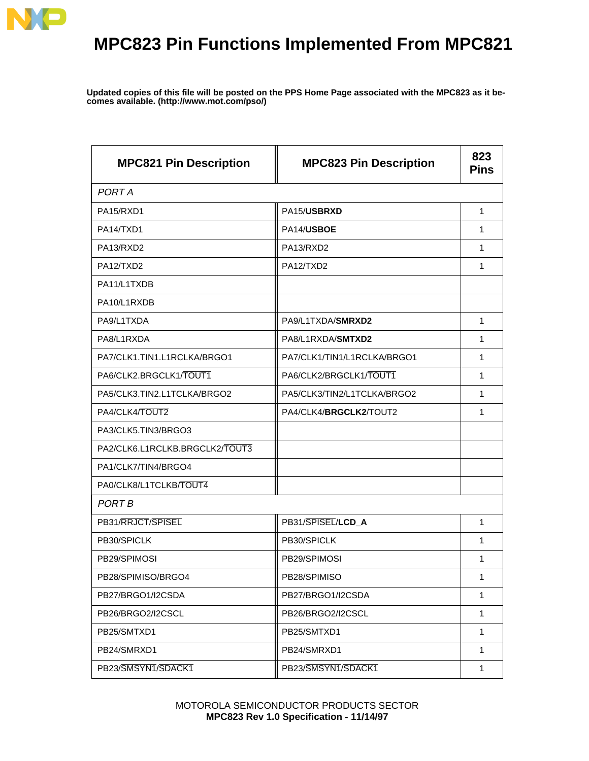

## **MPC823 Pin Functions Implemented From MPC821**

**Updated copies of this file will be posted on the PPS Home Page associated with the MPC823 as it becomes available. (http://www.mot.com/pso/)**

| <b>MPC821 Pin Description</b>  | <b>MPC823 Pin Description</b> | 823<br><b>Pins</b> |
|--------------------------------|-------------------------------|--------------------|
| <b>PORTA</b>                   |                               |                    |
| PA15/RXD1                      | PA15/USBRXD                   | 1                  |
| PA14/TXD1                      | PA14/USBOE                    | 1                  |
| PA13/RXD2                      | PA13/RXD2                     | 1                  |
| PA12/TXD2                      | PA12/TXD2                     | 1                  |
| PA11/L1TXDB                    |                               |                    |
| PA10/L1RXDB                    |                               |                    |
| PA9/L1TXDA                     | PA9/L1TXDA/SMRXD2             | 1                  |
| PA8/L1RXDA                     | PA8/L1RXDA/SMTXD2             | 1                  |
| PA7/CLK1.TIN1.L1RCLKA/BRGO1    | PA7/CLK1/TIN1/L1RCLKA/BRGO1   | 1                  |
| PA6/CLK2.BRGCLK1/TOUT1         | PA6/CLK2/BRGCLK1/TOUT1        | 1                  |
| PA5/CLK3.TIN2.L1TCLKA/BRGO2    | PA5/CLK3/TIN2/L1TCLKA/BRGO2   | 1                  |
| PA4/CLK4/TOUT2                 | PA4/CLK4/BRGCLK2/TOUT2        | 1                  |
| PA3/CLK5.TIN3/BRGO3            |                               |                    |
| PA2/CLK6.L1RCLKB.BRGCLK2/TOUT3 |                               |                    |
| PA1/CLK7/TIN4/BRGO4            |                               |                    |
| PA0/CLK8/L1TCLKB/TOUT4         |                               |                    |
| PORT B                         |                               |                    |
| PB31/RRJCT/SPISEL              | PB31/SPISEL/LCD_A             | 1                  |
| PB30/SPICLK                    | PB30/SPICLK                   | 1                  |
| PB29/SPIMOSI                   | PB29/SPIMOSI                  | 1                  |
| PB28/SPIMISO/BRGO4             | PB28/SPIMISO                  | 1                  |
| PB27/BRGO1/I2CSDA              | PB27/BRGO1/I2CSDA             | 1                  |
| PB26/BRGO2/I2CSCL              | PB26/BRGO2/I2CSCL             | $\mathbf{1}$       |
| PB25/SMTXD1                    | PB25/SMTXD1                   | $\mathbf{1}$       |
| PB24/SMRXD1                    | PB24/SMRXD1                   | $\mathbf{1}$       |
| PB23/SMSYN1/SDACK1             | PB23/SMSYN1/SDACK1            | $\mathbf{1}$       |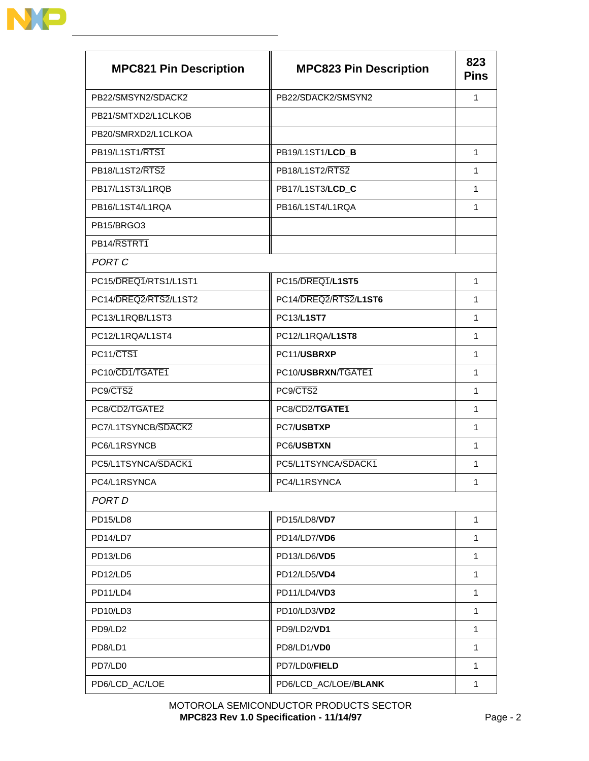| <b>MPC821 Pin Description</b> | <b>MPC823 Pin Description</b> | 823<br><b>Pins</b> |
|-------------------------------|-------------------------------|--------------------|
| PB22/SMSYN2/SDACK2            | PB22/SDACK2/SMSYN2            | 1                  |
| PB21/SMTXD2/L1CLKOB           |                               |                    |
| PB20/SMRXD2/L1CLKOA           |                               |                    |
| PB19/L1ST1/RTS1               | PB19/L1ST1/LCD_B              | 1                  |
| PB18/L1ST2/RTS2               | PB18/L1ST2/RTS2               | 1                  |
| PB17/L1ST3/L1RQB              | PB17/L1ST3/LCD_C              | 1                  |
| PB16/L1ST4/L1RQA              | PB16/L1ST4/L1RQA              | 1                  |
| PB15/BRGO3                    |                               |                    |
| PB14/RSTRT1                   |                               |                    |
| PORT C                        |                               |                    |
| PC15/DREQ1/RTS1/L1ST1         | PC15/DREQ1/L1ST5              | $\mathbf{1}$       |
| PC14/DREQ2/RTS2/L1ST2         | PC14/DREQ2/RTS2/L1ST6         | 1                  |
| PC13/L1RQB/L1ST3              | PC13/L1ST7                    | 1                  |
| PC12/L1RQA/L1ST4              | PC12/L1RQA/L1ST8              | 1                  |
| PC11/CTS1                     | PC11/USBRXP                   | 1                  |
| PC10/CD1/TGATE1               | PC10/USBRXN/TGATE1            | 1                  |
| PC9/CTS2                      | PC9/CTS2                      | 1                  |
| PC8/CD2/TGATE2                | PC8/CD2/TGATE1                | 1                  |
| PC7/L1TSYNCB/SDACK2           | PC7/USBTXP                    | 1                  |
| PC6/L1RSYNCB                  | PC6/USBTXN                    | 1                  |
| PC5/L1TSYNCA/SDACK1           | PC5/L1TSYNCA/SDACK1           | 1                  |
| PC4/L1RSYNCA                  | PC4/L1RSYNCA                  | $\mathbf{1}$       |
| PORT D                        |                               |                    |
| PD15/LD8                      | PD15/LD8/VD7                  | $\mathbf{1}$       |
| PD14/LD7                      | PD14/LD7/VD6                  | 1                  |
| PD13/LD6                      | PD13/LD6/VD5                  | $\mathbf{1}$       |
| PD12/LD5                      | PD12/LD5/VD4                  | $\mathbf{1}$       |
| PD11/LD4                      | PD11/LD4/VD3                  | $\mathbf{1}$       |
| PD10/LD3                      | PD10/LD3/VD2                  | 1                  |
| PD9/LD2                       | PD9/LD2/VD1                   | 1                  |
| PD8/LD1                       | PD8/LD1/VD0                   | 1                  |
| PD7/LD0                       | PD7/LD0/FIELD                 | 1                  |
| PD6/LCD_AC/LOE                | PD6/LCD_AC/LOE//BLANK         | $\mathbf{1}$       |

## MOTOROLA SEMICONDUCTOR PRODUCTS SECTOR **MPC823 Rev 1.0 Specification - 11/14/97** Page - 2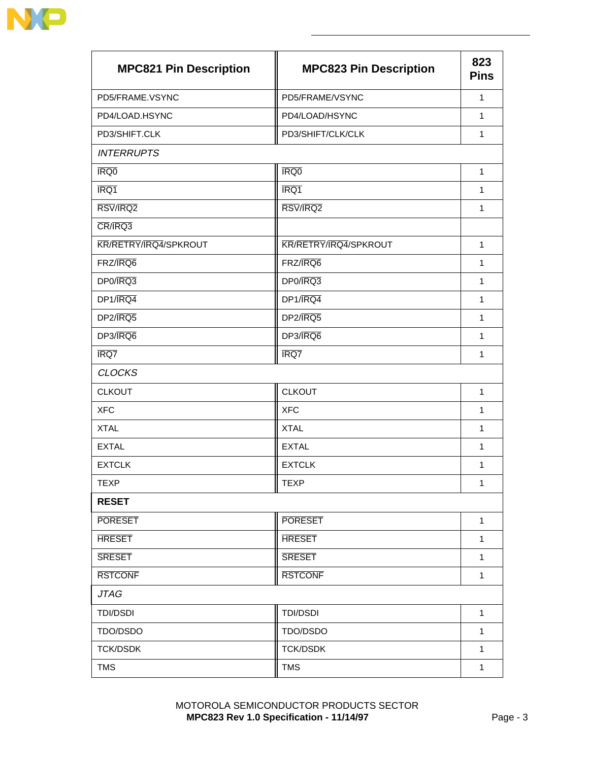

| <b>MPC821 Pin Description</b> | <b>MPC823 Pin Description</b> | 823<br><b>Pins</b> |
|-------------------------------|-------------------------------|--------------------|
| PD5/FRAME.VSYNC               | PD5/FRAME/VSYNC               | 1                  |
| PD4/LOAD.HSYNC                | PD4/LOAD/HSYNC                | $\mathbf{1}$       |
| PD3/SHIFT.CLK                 | PD3/SHIFT/CLK/CLK             | 1                  |
| <b>INTERRUPTS</b>             |                               |                    |
| <b>IRQ0</b>                   | <b>IRQ0</b>                   | 1                  |
| IRQ1                          | IRQ1                          | 1                  |
| RSV/IRQ2                      | RSV/IRQ2                      | 1                  |
| CR/IRQ3                       |                               |                    |
| KR/RETRY/IRQ4/SPKROUT         | KR/RETRY/IRQ4/SPKROUT         | $\mathbf{1}$       |
| FRZ/IRQ6                      | FRZ/IRQ6                      | 1                  |
| DP0/IRQ3                      | DP0/IRQ3                      | 1                  |
| DP1/IRQ4                      | DP1/IRQ4                      | 1                  |
| DP2/JRQ5                      | DP2/IRQ5                      | $\mathbf{1}$       |
| DP3/IRQ6                      | DP3/IRQ6                      | $\mathbf{1}$       |
| IRQ7                          | IRQ7                          | 1                  |
| <b>CLOCKS</b>                 |                               |                    |
| <b>CLKOUT</b>                 | <b>CLKOUT</b>                 | $\mathbf{1}$       |
| <b>XFC</b>                    | <b>XFC</b>                    | $\mathbf{1}$       |
| <b>XTAL</b>                   | <b>XTAL</b>                   | $\mathbf{1}$       |
| <b>EXTAL</b>                  | <b>EXTAL</b>                  | 1                  |
| <b>EXTCLK</b>                 | <b>EXTCLK</b>                 | 1                  |
| TEXP                          | TEXP                          | $\mathbf{1}$       |
| <b>RESET</b>                  |                               |                    |
| <b>PORESET</b>                | <b>PORESET</b>                | $\mathbf{1}$       |
| <b>HRESET</b>                 | <b>HRESET</b>                 | $\mathbf{1}$       |
| <b>SRESET</b>                 | <b>SRESET</b>                 | $\mathbf{1}$       |
| <b>RSTCONF</b>                | <b>RSTCONF</b>                | 1                  |
| <b>JTAG</b>                   |                               |                    |
| <b>TDI/DSDI</b>               | <b>TDI/DSDI</b>               | $\mathbf{1}$       |
| TDO/DSDO                      | TDO/DSDO                      | $\mathbf{1}$       |
| <b>TCK/DSDK</b>               | <b>TCK/DSDK</b>               | $\mathbf{1}$       |
| <b>TMS</b>                    | <b>TMS</b>                    | $\mathbf{1}$       |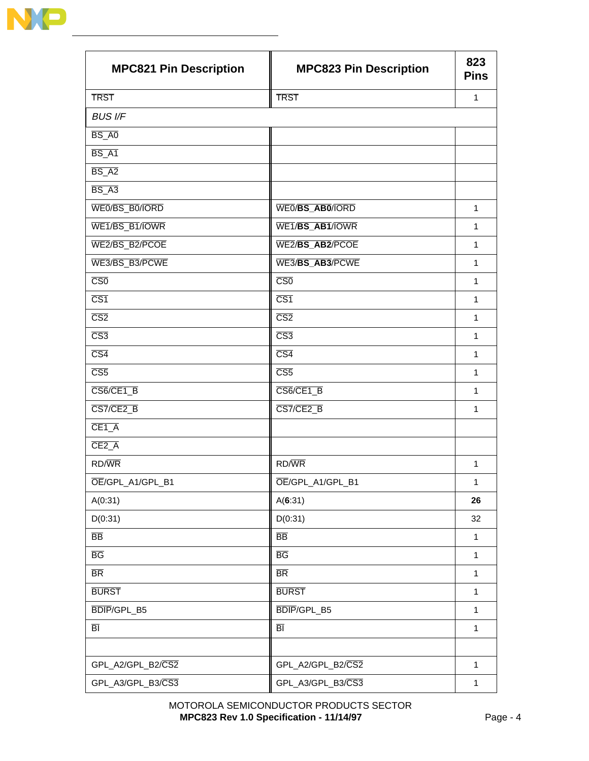

| <b>MPC821 Pin Description</b> | <b>MPC823 Pin Description</b> | 823<br><b>Pins</b> |
|-------------------------------|-------------------------------|--------------------|
| <b>TRST</b>                   | <b>TRST</b>                   | $\mathbf{1}$       |
| <b>BUS I/F</b>                |                               |                    |
| BS_A0                         |                               |                    |
| BS_A1                         |                               |                    |
| $BS_A2$                       |                               |                    |
| $BS_A3$                       |                               |                    |
| WE0/BS_B0/IORD                | WEO/BS_ABO/IORD               | $\mathbf{1}$       |
| WE1/BS_B1/IOWR                | WE1/BS_AB1/IOWR               | $\mathbf{1}$       |
| WE2/BS_B2/PCOE                | WE2/BS_AB2/PCOE               | $\mathbf{1}$       |
| WE3/BS_B3/PCWE                | WE3/BS_AB3/PCWE               | $\mathbf{1}$       |
| $\overline{\text{CS}0}$       | $\overline{\text{CS}0}$       | $\mathbf{1}$       |
| $\overline{\text{CS1}}$       | $\overline{CS1}$              | 1                  |
| $\overline{\text{CS2}}$       | $\overline{\text{CS2}}$       | $\mathbf{1}$       |
| $\overline{CS3}$              | $\overline{CS3}$              | $\mathbf{1}$       |
| $\overline{CS4}$              | $\overline{CS4}$              | $\mathbf{1}$       |
| $\overline{\text{CS5}}$       | $\overline{CS5}$              | $\mathbf{1}$       |
| CS6/CE1_B                     | CS6/CE1_B                     | $\mathbf{1}$       |
| CS7/CE2_B                     | CS7/CE2_B                     | 1                  |
| CE1 <sub>A</sub>              |                               |                    |
| $CE2_A$                       |                               |                    |
| RD/WR                         | RD/WR                         | $\mathbf{1}$       |
| OE/GPL_A1/GPL_B1              | OE/GPL_A1/GPL_B1              | 1                  |
| A(0:31)                       | A(6:31)                       | 26                 |
| D(0:31)                       | D(0:31)                       | 32                 |
| $\overline{BB}$               | $\overline{BB}$               | $\mathbf{1}$       |
| $\overline{BG}$               | $\overline{BG}$               | $\mathbf{1}$       |
| $\overline{\mathsf{BR}}$      | $\overline{\text{BR}}$        | $\mathbf{1}$       |
| <b>BURST</b>                  | <b>BURST</b>                  | $\mathbf{1}$       |
| BDIP/GPL_B5                   | BDIP/GPL_B5                   | $\mathbf{1}$       |
| $\overline{\mathsf{BI}}$      | $\overline{\mathsf{BI}}$      | $\mathbf{1}$       |
|                               |                               |                    |
| GPL_A2/GPL_B2/CS2             | GPL_A2/GPL_B2/CS2             | $\mathbf{1}$       |
| GPL_A3/GPL_B3/CS3             | GPL_A3/GPL_B3/CS3             | $\mathbf{1}$       |

## MOTOROLA SEMICONDUCTOR PRODUCTS SECTOR **MPC823 Rev 1.0 Specification - 11/14/97** Page - 4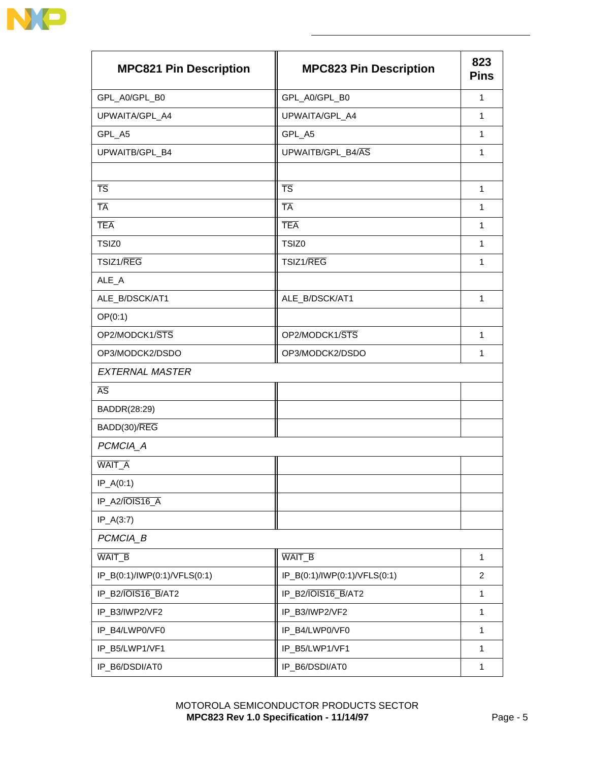

| <b>MPC821 Pin Description</b> | <b>MPC823 Pin Description</b> | 823<br><b>Pins</b> |
|-------------------------------|-------------------------------|--------------------|
| GPL_A0/GPL_B0                 | GPL_A0/GPL_B0                 | $\mathbf{1}$       |
| UPWAITA/GPL_A4                | UPWAITA/GPL_A4                | $\mathbf{1}$       |
| GPL_A5                        | GPL_A5                        | 1                  |
| UPWAITB/GPL_B4                | UPWAITB/GPL_B4/AS             | $\mathbf{1}$       |
| $\overline{\text{TS}}$        | <b>TS</b>                     | 1                  |
| <b>TA</b>                     | <b>TA</b>                     | $\mathbf{1}$       |
| <b>TEA</b>                    | <b>TEA</b>                    | $\mathbf{1}$       |
| TSIZ0                         | TSIZ0                         | $\mathbf{1}$       |
| TSIZ1/REG                     | TSIZ1/REG                     | 1                  |
| ALE_A                         |                               |                    |
| ALE_B/DSCK/AT1                | ALE_B/DSCK/AT1                | $\mathbf{1}$       |
| OP(0:1)                       |                               |                    |
| OP2/MODCK1/STS                | OP2/MODCK1/STS                | $\mathbf{1}$       |
| OP3/MODCK2/DSDO               | OP3/MODCK2/DSDO               | 1                  |
| <b>EXTERNAL MASTER</b>        |                               |                    |
| $\overline{\text{AS}}$        |                               |                    |
| BADDR(28:29)                  |                               |                    |
| BADD(30)/REG                  |                               |                    |
| PCMCIA_A                      |                               |                    |
| <b>WAIT_A</b>                 |                               |                    |
| $IP_A(0:1)$                   |                               |                    |
| IP_A2/IOIS16_A                |                               |                    |
| $IP_A(3:7)$                   |                               |                    |
| PCMCIA_B                      |                               |                    |
| WAIT_B                        | WAIT_B                        | 1                  |
| IP_B(0:1)/IWP(0:1)/VFLS(0:1)  | IP_B(0:1)/IWP(0:1)/VFLS(0:1)  | $\overline{c}$     |
| IP_B2/IOIS16_B/AT2            | IP_B2/IOIS16_B/AT2            | $\mathbf{1}$       |
| IP_B3/IWP2/VF2                | IP_B3/IWP2/VF2                | $\mathbf{1}$       |
| IP_B4/LWP0/VF0                | IP_B4/LWP0/VF0                | $\mathbf{1}$       |
| IP_B5/LWP1/VF1                | IP_B5/LWP1/VF1                | 1                  |
| IP_B6/DSDI/AT0                | IP_B6/DSDI/AT0                | $\mathbf{1}$       |